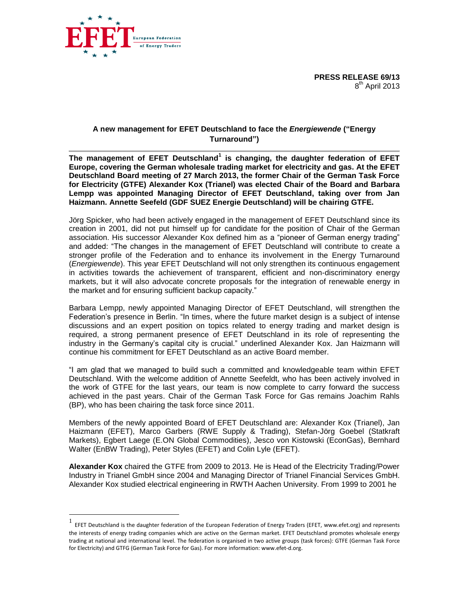



ropean Federation of Energy Traders

**The management of EFET Deutschland<sup>1</sup> is changing, the daughter federation of EFET Europe, covering the German wholesale trading market for electricity and gas. At the EFET Deutschland Board meeting of 27 March 2013, the former Chair of the German Task Force for Electricity (GTFE) Alexander Kox (Trianel) was elected Chair of the Board and Barbara Lempp was appointed Managing Director of EFET Deutschland, taking over from Jan Haizmann. Annette Seefeld (GDF SUEZ Energie Deutschland) will be chairing GTFE.** 

Jörg Spicker, who had been actively engaged in the management of EFET Deutschland since its creation in 2001, did not put himself up for candidate for the position of Chair of the German association. His successor Alexander Kox defined him as a "pioneer of German energy trading" and added: "The changes in the management of EFET Deutschland will contribute to create a stronger profile of the Federation and to enhance its involvement in the Energy Turnaround (*Energiewende*). This year EFET Deutschland will not only strengthen its continuous engagement in activities towards the achievement of transparent, efficient and non-discriminatory energy markets, but it will also advocate concrete proposals for the integration of renewable energy in the market and for ensuring sufficient backup capacity."

Barbara Lempp, newly appointed Managing Director of EFET Deutschland, will strengthen the Federation's presence in Berlin. "In times, where the future market design is a subject of intense discussions and an expert position on topics related to energy trading and market design is required, a strong permanent presence of EFET Deutschland in its role of representing the industry in the Germany's capital city is crucial." underlined Alexander Kox. Jan Haizmann will continue his commitment for EFET Deutschland as an active Board member.

"I am glad that we managed to build such a committed and knowledgeable team within EFET Deutschland. With the welcome addition of Annette Seefeldt, who has been actively involved in the work of GTFE for the last years, our team is now complete to carry forward the success achieved in the past years. Chair of the German Task Force for Gas remains Joachim Rahls (BP), who has been chairing the task force since 2011.

Members of the newly appointed Board of EFET Deutschland are: Alexander Kox (Trianel), Jan Haizmann (EFET), Marco Garbers (RWE Supply & Trading), Stefan-Jörg Goebel (Statkraft Markets), Egbert Laege (E.ON Global Commodities), Jesco von Kistowski (EconGas), Bernhard Walter (EnBW Trading), Peter Styles (EFET) and Colin Lyle (EFET).

**Alexander Kox** chaired the GTFE from 2009 to 2013. He is Head of the Electricity Trading/Power Industry in Trianel GmbH since 2004 and Managing Director of Trianel Financial Services GmbH. Alexander Kox studied electrical engineering in RWTH Aachen University. From 1999 to 2001 he

 $\overline{a}$ 

<sup>1</sup> EFET Deutschland is the daughter federation of the European Federation of Energy Traders (EFET, [www.efet.org\)](http://www.efet.org/) and represents the interests of energy trading companies which are active on the German market. EFET Deutschland promotes wholesale energy trading at national and international level. The federation is organised in two active groups (task forces): GTFE (German Task Force for Electricity) and GTFG (German Task Force for Gas). For more information[: www.efet-d.org.](http://www.efet-d.org/)